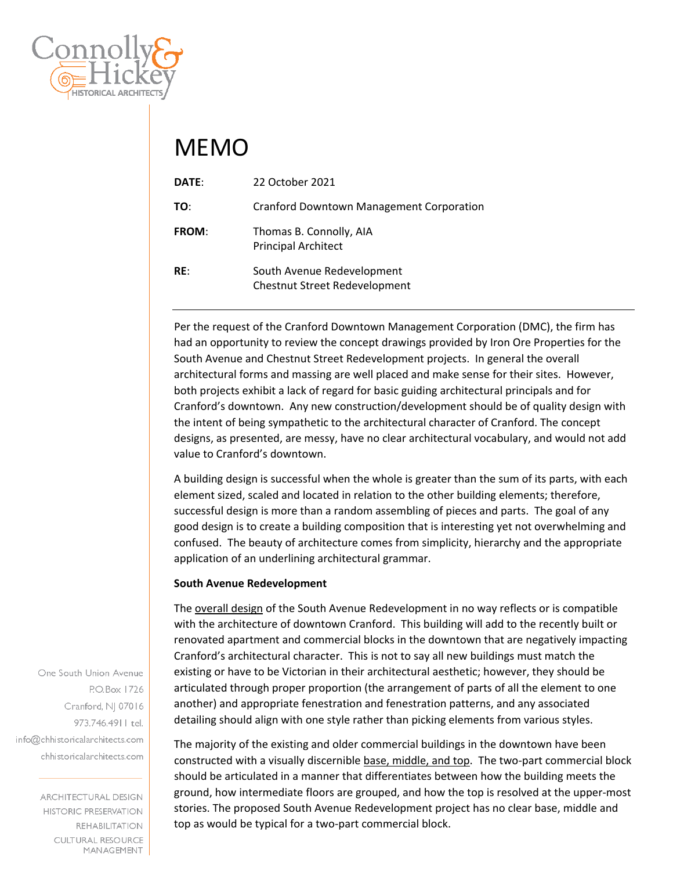

## MEMO

| DATE:        | 22 October 2021                                                    |
|--------------|--------------------------------------------------------------------|
| TO:          | <b>Cranford Downtown Management Corporation</b>                    |
| <b>FROM:</b> | Thomas B. Connolly, AIA<br><b>Principal Architect</b>              |
| RE:          | South Avenue Redevelopment<br><b>Chestnut Street Redevelopment</b> |

Per the request of the Cranford Downtown Management Corporation (DMC), the firm has had an opportunity to review the concept drawings provided by Iron Ore Properties for the South Avenue and Chestnut Street Redevelopment projects. In general the overall architectural forms and massing are well placed and make sense for their sites. However, both projects exhibit a lack of regard for basic guiding architectural principals and for Cranford's downtown. Any new construction/development should be of quality design with the intent of being sympathetic to the architectural character of Cranford. The concept designs, as presented, are messy, have no clear architectural vocabulary, and would not add value to Cranford's downtown.

A building design is successful when the whole is greater than the sum of its parts, with each element sized, scaled and located in relation to the other building elements; therefore, successful design is more than a random assembling of pieces and parts. The goal of any good design is to create a building composition that is interesting yet not overwhelming and confused. The beauty of architecture comes from simplicity, hierarchy and the appropriate application of an underlining architectural grammar.

## **South Avenue Redevelopment**

The overall design of the South Avenue Redevelopment in no way reflects or is compatible with the architecture of downtown Cranford. This building will add to the recently built or renovated apartment and commercial blocks in the downtown that are negatively impacting Cranford's architectural character. This is not to say all new buildings must match the existing or have to be Victorian in their architectural aesthetic; however, they should be articulated through proper proportion (the arrangement of parts of all the element to one another) and appropriate fenestration and fenestration patterns, and any associated detailing should align with one style rather than picking elements from various styles.

The majority of the existing and older commercial buildings in the downtown have been constructed with a visually discernible base, middle, and top. The two‐part commercial block should be articulated in a manner that differentiates between how the building meets the ground, how intermediate floors are grouped, and how the top is resolved at the upper‐most stories. The proposed South Avenue Redevelopment project has no clear base, middle and top as would be typical for a two‐part commercial block.

One South Union Avenue P.O.Box 1726 Cranford, NJ 07016 973.746.4911 tel. info@chhistoricalarchitects.com chhistoricalarchitects.com

> **ARCHITECTURAL DESIGN HISTORIC PRESERVATION REHABILITATION CULTURAL RESOURCE** MANAGEMENT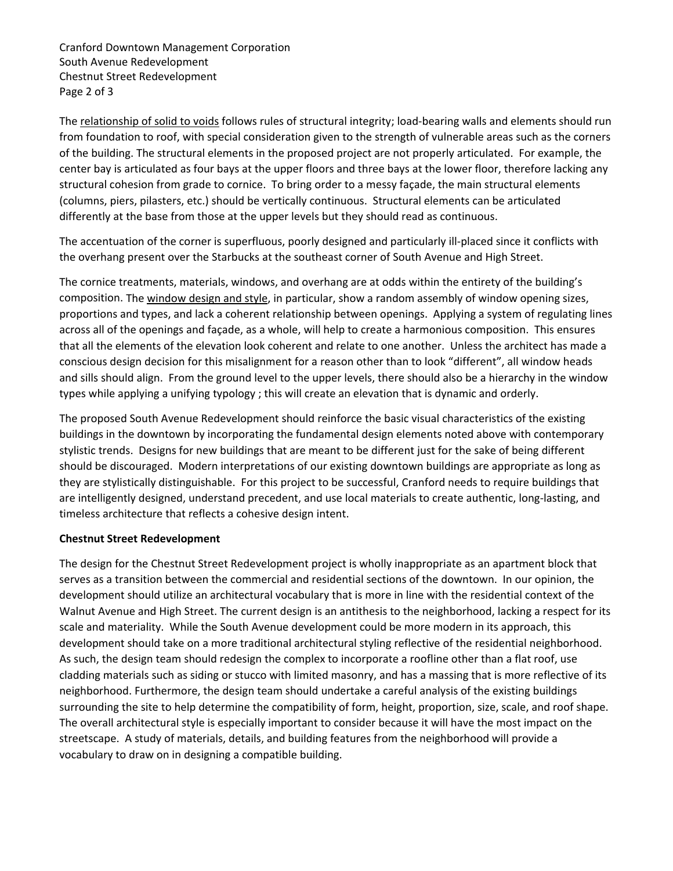Cranford Downtown Management Corporation South Avenue Redevelopment Chestnut Street Redevelopment Page 2 of 3

The relationship of solid to voids follows rules of structural integrity; load-bearing walls and elements should run from foundation to roof, with special consideration given to the strength of vulnerable areas such as the corners of the building. The structural elements in the proposed project are not properly articulated. For example, the center bay is articulated as four bays at the upper floors and three bays at the lower floor, therefore lacking any structural cohesion from grade to cornice. To bring order to a messy façade, the main structural elements (columns, piers, pilasters, etc.) should be vertically continuous. Structural elements can be articulated differently at the base from those at the upper levels but they should read as continuous.

The accentuation of the corner is superfluous, poorly designed and particularly ill-placed since it conflicts with the overhang present over the Starbucks at the southeast corner of South Avenue and High Street.

The cornice treatments, materials, windows, and overhang are at odds within the entirety of the building's composition. The window design and style, in particular, show a random assembly of window opening sizes, proportions and types, and lack a coherent relationship between openings. Applying a system of regulating lines across all of the openings and façade, as a whole, will help to create a harmonious composition. This ensures that all the elements of the elevation look coherent and relate to one another. Unless the architect has made a conscious design decision for this misalignment for a reason other than to look "different", all window heads and sills should align. From the ground level to the upper levels, there should also be a hierarchy in the window types while applying a unifying typology ; this will create an elevation that is dynamic and orderly.

The proposed South Avenue Redevelopment should reinforce the basic visual characteristics of the existing buildings in the downtown by incorporating the fundamental design elements noted above with contemporary stylistic trends. Designs for new buildings that are meant to be different just for the sake of being different should be discouraged. Modern interpretations of our existing downtown buildings are appropriate as long as they are stylistically distinguishable. For this project to be successful, Cranford needs to require buildings that are intelligently designed, understand precedent, and use local materials to create authentic, long‐lasting, and timeless architecture that reflects a cohesive design intent.

## **Chestnut Street Redevelopment**

The design for the Chestnut Street Redevelopment project is wholly inappropriate as an apartment block that serves as a transition between the commercial and residential sections of the downtown. In our opinion, the development should utilize an architectural vocabulary that is more in line with the residential context of the Walnut Avenue and High Street. The current design is an antithesis to the neighborhood, lacking a respect for its scale and materiality. While the South Avenue development could be more modern in its approach, this development should take on a more traditional architectural styling reflective of the residential neighborhood. As such, the design team should redesign the complex to incorporate a roofline other than a flat roof, use cladding materials such as siding or stucco with limited masonry, and has a massing that is more reflective of its neighborhood. Furthermore, the design team should undertake a careful analysis of the existing buildings surrounding the site to help determine the compatibility of form, height, proportion, size, scale, and roof shape. The overall architectural style is especially important to consider because it will have the most impact on the streetscape. A study of materials, details, and building features from the neighborhood will provide a vocabulary to draw on in designing a compatible building.